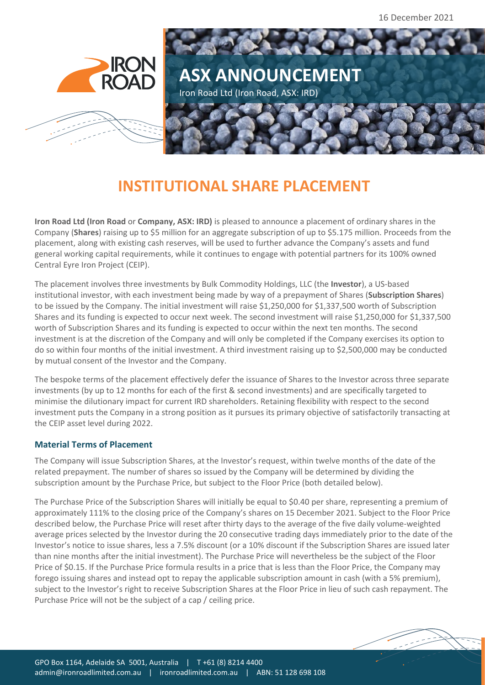16 December 2021



## **INSTITUTIONAL SHARE PLACEMENT**

**Iron Road Ltd (Iron Road** or **Company, ASX: IRD)** is pleased to announce a placement of ordinary shares in the Company (**Shares**) raising up to \$5 million for an aggregate subscription of up to \$5.175 million. Proceeds from the placement, along with existing cash reserves, will be used to further advance the Company's assets and fund general working capital requirements, while it continues to engage with potential partners for its 100% owned Central Eyre Iron Project (CEIP).

The placement involves three investments by Bulk Commodity Holdings, LLC (the **Investor**), a US-based institutional investor, with each investment being made by way of a prepayment of Shares (**Subscription Shares**) to be issued by the Company. The initial investment will raise \$1,250,000 for \$1,337,500 worth of Subscription Shares and its funding is expected to occur next week. The second investment will raise \$1,250,000 for \$1,337,500 worth of Subscription Shares and its funding is expected to occur within the next ten months. The second investment is at the discretion of the Company and will only be completed if the Company exercises its option to do so within four months of the initial investment. A third investment raising up to \$2,500,000 may be conducted by mutual consent of the Investor and the Company.

The bespoke terms of the placement effectively defer the issuance of Shares to the Investor across three separate investments (by up to 12 months for each of the first & second investments) and are specifically targeted to minimise the dilutionary impact for current IRD shareholders. Retaining flexibility with respect to the second investment puts the Company in a strong position as it pursues its primary objective of satisfactorily transacting at the CEIP asset level during 2022.

## **Material Terms of Placement**

The Company will issue Subscription Shares, at the Investor's request, within twelve months of the date of the related prepayment. The number of shares so issued by the Company will be determined by dividing the subscription amount by the Purchase Price, but subject to the Floor Price (both detailed below).

The Purchase Price of the Subscription Shares will initially be equal to \$0.40 per share, representing a premium of approximately 111% to the closing price of the Company's shares on 15 December 2021. Subject to the Floor Price described below, the Purchase Price will reset after thirty days to the average of the five daily volume-weighted average prices selected by the Investor during the 20 consecutive trading days immediately prior to the date of the Investor's notice to issue shares, less a 7.5% discount (or a 10% discount if the Subscription Shares are issued later than nine months after the initial investment). The Purchase Price will nevertheless be the subject of the Floor Price of \$0.15. If the Purchase Price formula results in a price that is less than the Floor Price, the Company may forego issuing shares and instead opt to repay the applicable subscription amount in cash (with a 5% premium), subject to the Investor's right to receive Subscription Shares at the Floor Price in lieu of such cash repayment. The Purchase Price will not be the subject of a cap / ceiling price.